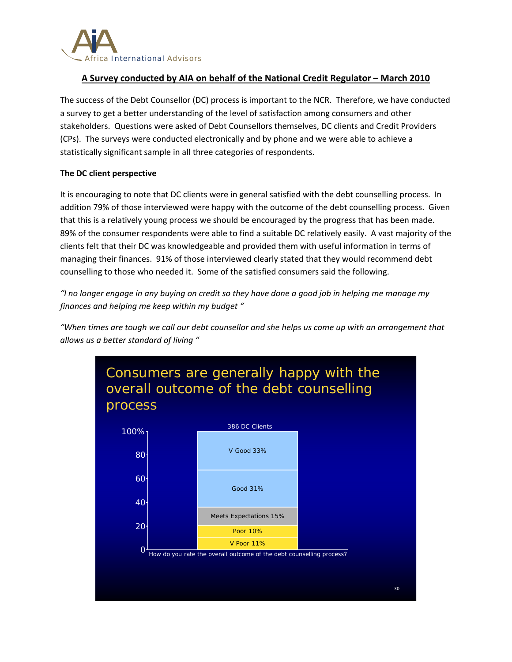

# **A Survey conducted by AIA on behalf of the National Credit Regulator – March 2010**

The success of the Debt Counsellor (DC) process is important to the NCR. Therefore, we have conducted a survey to get a better understanding of the level of satisfaction among consumers and other stakeholders. Questions were asked of Debt Counsellors themselves, DC clients and Credit Providers (CPs). The surveys were conducted electronically and by phone and we were able to achieve a statistically significant sample in all three categories of respondents.

# **The DC client perspective**

It is encouraging to note that DC clients were in general satisfied with the debt counselling process. In addition 79% of those interviewed were happy with the outcome of the debt counselling process. Given that this is a relatively young process we should be encouraged by the progress that has been made. 89% of the consumer respondents were able to find a suitable DC relatively easily. A vast majority of the clients felt that their DC was knowledgeable and provided them with useful information in terms of managing their finances. 91% of those interviewed clearly stated that they would recommend debt counselling to those who needed it. Some of the satisfied consumers said the following.

"I no longer engage in any buying on credit so they have done a good job in helping me manage my *finances and helping me keep within my budget "*

"When times are tough we call our debt counsellor and she helps us come up with an arrangement that *allows us a better standard of living "*

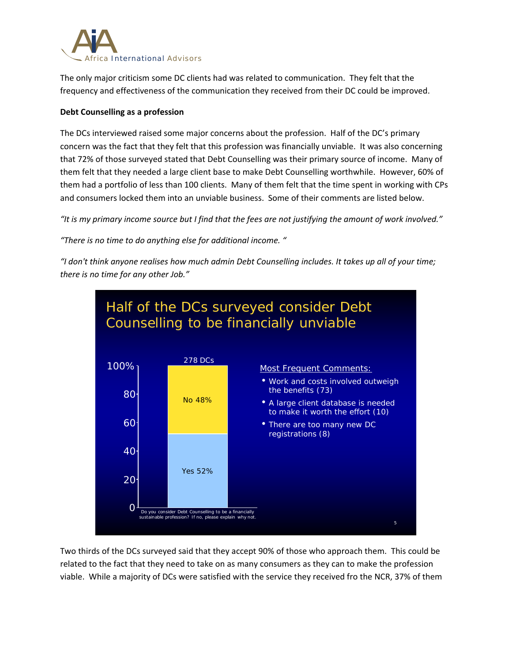

The only major criticism some DC clients had was related to communication. They felt that the frequency and effectiveness of the communication they received from their DC could be improved.

# **Debt Counselling as a profession**

The DCs interviewed raised some major concerns about the profession. Half of the DC's primary concern was the fact that they felt that this profession was financially unviable. It was also concerning that 72% of those surveyed stated that Debt Counselling was their primary source of income. Many of them felt that they needed a large client base to make Debt Counselling worthwhile. However, 60% of them had a portfolio of less than 100 clients. Many of them felt that the time spent in working with CPs and consumers locked them into an unviable business. Some of their comments are listed below.

"It is my primary income source but I find that the fees are not justifying the amount of work involved."

*"There is no time to do anything else for additional income. "*

"I don't think anyone realises how much admin Debt Counselling includes. It takes up all of your time; *there is no time for any other Job."*



Two thirds of the DCs surveyed said that they accept 90% of those who approach them. This could be related to the fact that they need to take on as many consumers as they can to make the profession viable. While a majority of DCs were satisfied with the service they received fro the NCR, 37% of them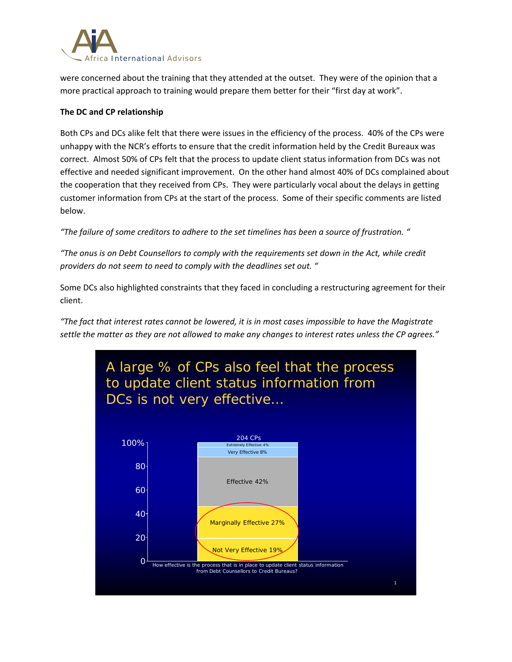

were concerned about the training that they attended at the outset. They were of the opinion that a more practical approach to training would prepare them better for their "first day at work".

# **The DC and CP relationship**

Both CPs and DCs alike felt that there were issues in the efficiency of the process. 40% of the CPs were unhappy with the NCR's efforts to ensure that the credit information held by the Credit Bureaux was correct. Almost 50% of CPs felt that the process to update client status information from DCs was not effective and needed significant improvement. On the other hand almost 40% of DCs complained about the cooperation that they received from CPs. They were particularly vocal about the delays in getting customer information from CPs at the start of the process. Some of their specific comments are listed below.

*"The failure of some creditors to adhere to the set timelines has been a source of frustration. "*

*"The onus is on Debt Counsellors to comply with the requirements set down in the Act, while credit providers do not seem to need to comply with the deadlines set out. "*

Some DCs also highlighted constraints that they faced in concluding a restructuring agreement for their client.

"The fact that interest rates cannot be lowered, it is in most cases impossible to have the Magistrate settle the matter as they are not allowed to make any changes to interest rates unless the CP agrees."